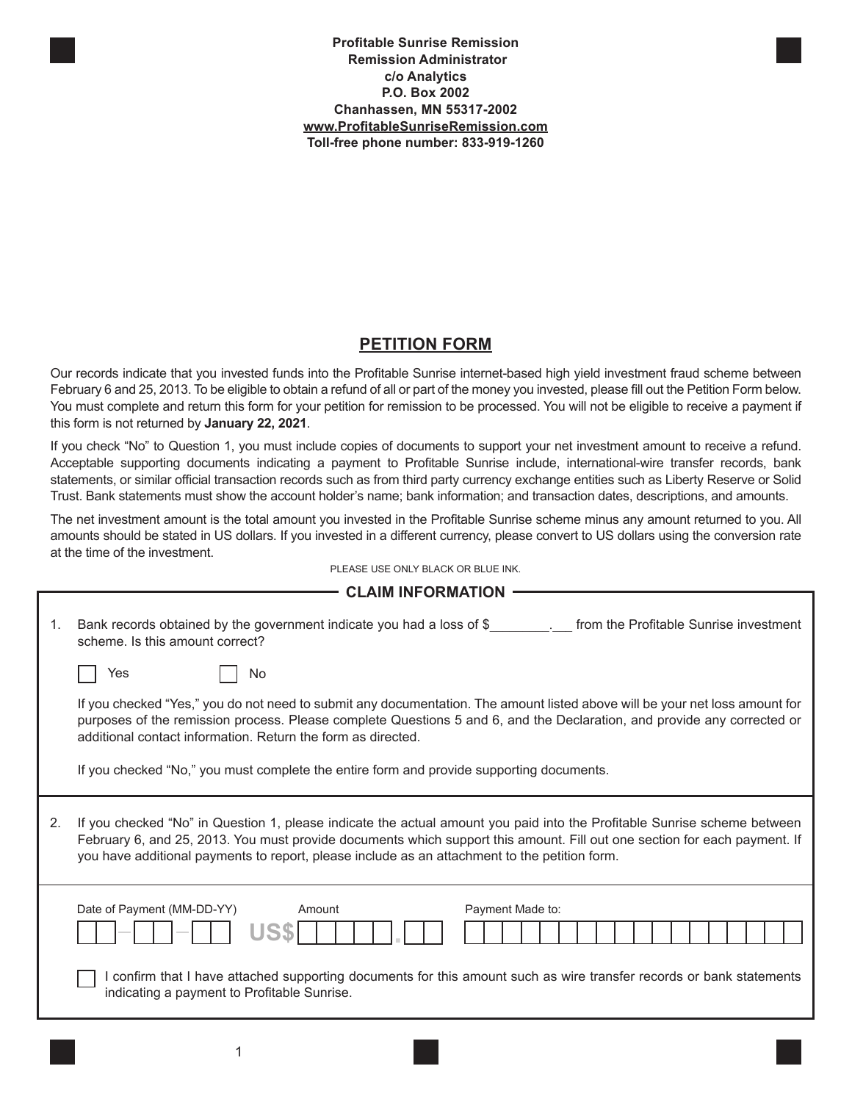**Profitable Sunrise Remission Remission Administrator c/o Analytics P.O. Box 2002 Chanhassen, MN 55317-2002 www.ProfitableSunriseRemission.com Toll-free phone number: 833-919-1260**

## **PETITION FORM**

Our records indicate that you invested funds into the Profitable Sunrise internet-based high yield investment fraud scheme between February 6 and 25, 2013. To be eligible to obtain a refund of all or part of the money you invested, please fill out the Petition Form below. You must complete and return this form for your petition for remission to be processed. You will not be eligible to receive a payment if this form is not returned by **January 22, 2021**.

If you check "No" to Question 1, you must include copies of documents to support your net investment amount to receive a refund. Acceptable supporting documents indicating a payment to Profitable Sunrise include, international-wire transfer records, bank statements, or similar official transaction records such as from third party currency exchange entities such as Liberty Reserve or Solid Trust. Bank statements must show the account holder's name; bank information; and transaction dates, descriptions, and amounts.

The net investment amount is the total amount you invested in the Profitable Sunrise scheme minus any amount returned to you. All amounts should be stated in US dollars. If you invested in a different currency, please convert to US dollars using the conversion rate at the time of the investment.

|         | <b>CLAIM INFORMATION</b>                                                                                                                                                                                                                                                                                                                                                                                           |  |  |  |  |
|---------|--------------------------------------------------------------------------------------------------------------------------------------------------------------------------------------------------------------------------------------------------------------------------------------------------------------------------------------------------------------------------------------------------------------------|--|--|--|--|
| $1_{-}$ | Bank records obtained by the government indicate you had a loss of \$<br>from the Profitable Sunrise investment<br>scheme. Is this amount correct?                                                                                                                                                                                                                                                                 |  |  |  |  |
|         | Yes<br>No                                                                                                                                                                                                                                                                                                                                                                                                          |  |  |  |  |
|         | If you checked "Yes," you do not need to submit any documentation. The amount listed above will be your net loss amount for<br>purposes of the remission process. Please complete Questions 5 and 6, and the Declaration, and provide any corrected or<br>additional contact information. Return the form as directed.<br>If you checked "No," you must complete the entire form and provide supporting documents. |  |  |  |  |
| 2.      | If you checked "No" in Question 1, please indicate the actual amount you paid into the Profitable Sunrise scheme between<br>February 6, and 25, 2013. You must provide documents which support this amount. Fill out one section for each payment. If<br>you have additional payments to report, please include as an attachment to the petition form.                                                             |  |  |  |  |
|         | Date of Payment (MM-DD-YY)<br>Amount<br>Payment Made to:<br>I confirm that I have attached supporting documents for this amount such as wire transfer records or bank statements<br>indicating a payment to Profitable Sunrise.                                                                                                                                                                                    |  |  |  |  |
|         |                                                                                                                                                                                                                                                                                                                                                                                                                    |  |  |  |  |

PLEASE USE ONLY BLACK OR BLUE INK.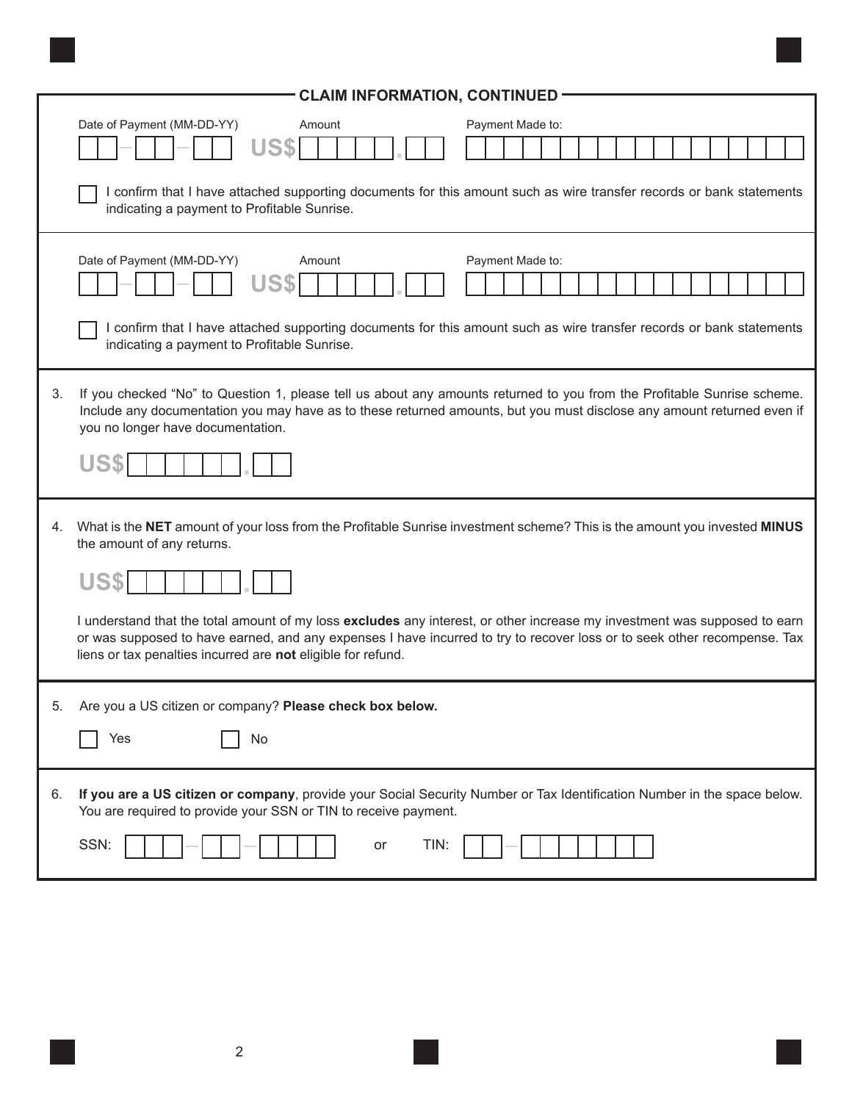|    | <b>CLAIM INFORMATION, CONTINUED</b><br>Date of Payment (MM-DD-YY)<br>Amount<br>Payment Made to:<br>I confirm that I have attached supporting documents for this amount such as wire transfer records or bank statements<br>indicating a payment to Profitable Sunrise.                                                                                                                                                                                                          |  |  |  |
|----|---------------------------------------------------------------------------------------------------------------------------------------------------------------------------------------------------------------------------------------------------------------------------------------------------------------------------------------------------------------------------------------------------------------------------------------------------------------------------------|--|--|--|
|    | Date of Payment (MM-DD-YY)<br>Payment Made to:<br>Amount<br>US\$<br>I confirm that I have attached supporting documents for this amount such as wire transfer records or bank statements<br>indicating a payment to Profitable Sunrise.                                                                                                                                                                                                                                         |  |  |  |
| 3. | If you checked "No" to Question 1, please tell us about any amounts returned to you from the Profitable Sunrise scheme.<br>Include any documentation you may have as to these returned amounts, but you must disclose any amount returned even if<br>you no longer have documentation.                                                                                                                                                                                          |  |  |  |
| 4. | What is the NET amount of your loss from the Profitable Sunrise investment scheme? This is the amount you invested MINUS<br>the amount of any returns.<br>I understand that the total amount of my loss excludes any interest, or other increase my investment was supposed to earn<br>or was supposed to have earned, and any expenses I have incurred to try to recover loss or to seek other recompense. Tax<br>liens or tax penalties incurred are not eligible for refund. |  |  |  |
| 5. | Are you a US citizen or company? Please check box below.<br>Yes<br>No                                                                                                                                                                                                                                                                                                                                                                                                           |  |  |  |
| 6. | If you are a US citizen or company, provide your Social Security Number or Tax Identification Number in the space below.<br>You are required to provide your SSN or TIN to receive payment.<br>SSN:<br>TIN:<br>or                                                                                                                                                                                                                                                               |  |  |  |